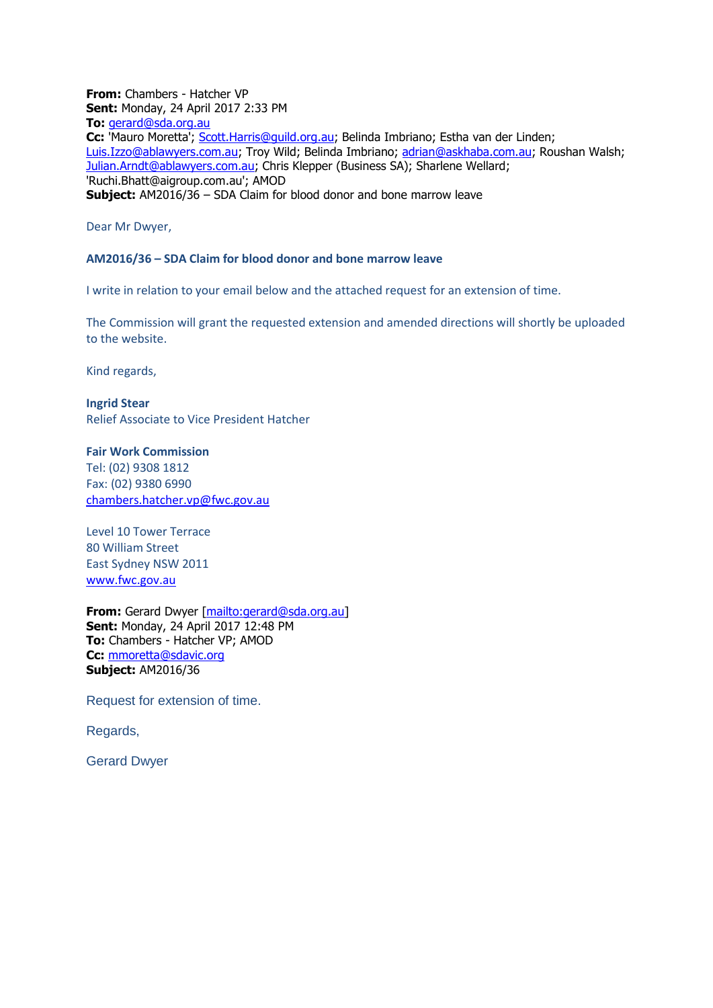**From:** Chambers - Hatcher VP **Sent:** Monday, 24 April 2017 2:33 PM **To:** [gerard@sda.org.au](mailto:gerard@sda.org.au) **Cc:** 'Mauro Moretta'; [Scott.Harris@guild.org.au;](mailto:Scott.Harris@guild.org.au) Belinda Imbriano; Estha van der Linden; [Luis.Izzo@ablawyers.com.au;](mailto:Luis.Izzo@ablawyers.com.au) Troy Wild; Belinda Imbriano; [adrian@askhaba.com.au;](mailto:adrian@askhaba.com.au) Roushan Walsh; [Julian.Arndt@ablawyers.com.au;](mailto:Julian.Arndt@ablawyers.com.au) Chris Klepper (Business SA); Sharlene Wellard; 'Ruchi.Bhatt@aigroup.com.au'; AMOD **Subject:** AM2016/36 – SDA Claim for blood donor and bone marrow leave

Dear Mr Dwyer,

## **AM2016/36 – SDA Claim for blood donor and bone marrow leave**

I write in relation to your email below and the attached request for an extension of time.

The Commission will grant the requested extension and amended directions will shortly be uploaded to the website.

Kind regards,

**Ingrid Stear** Relief Associate to Vice President Hatcher

**Fair Work Commission**  Tel: (02) 9308 1812 Fax: (02) 9380 6990 [chambers.hatcher.vp@fwc.gov.au](mailto:chambers.hatcher.vp@fwc.gov.au) 

Level 10 Tower Terrace 80 William Street East Sydney NSW 2011 [www.fwc.gov.au](http://www.fwc.gov.au/)

**From:** Gerard Dwyer [\[mailto:gerard@sda.org.au\]](mailto:gerard@sda.org.au) **Sent:** Monday, 24 April 2017 12:48 PM **To:** Chambers - Hatcher VP; AMOD **Cc:** [mmoretta@sdavic.org](mailto:mmoretta@sdavic.org) **Subject:** AM2016/36

Request for extension of time.

Regards,

Gerard Dwyer